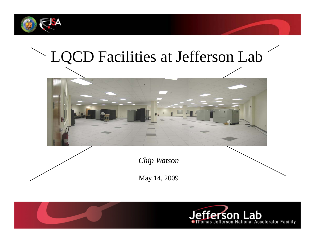

# LQCD Facilities at Jefferson Lab



*Chip Watson*

May 14, 2009



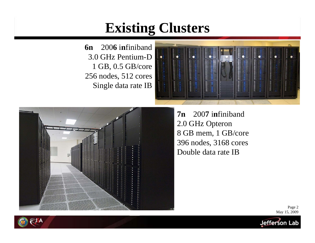#### **Existing Clusters**

**6nn** 200**6** infiniband 3.0 GHz Pentium-D 1 GB, 0.5 GB/core 256 nodes, 512 cores Single data rate IB





**7nn** 2007 infiniband 2.0 GHz Opteron 8 GB mem, 1 GB/core 396 nodes, 3168 cores Double data rate IB

> Page 2 May 15, 2009

Jefferson Lab

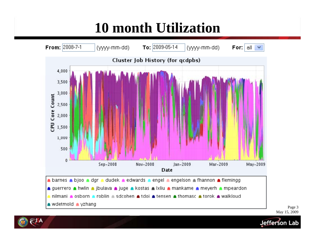### **10 month Utilization**



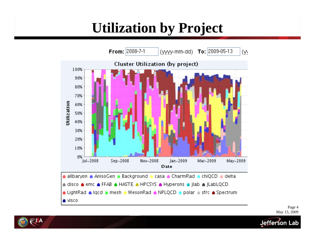### **Utilization by Project**



Page 4 May 15, 2009

Jefferson Lab

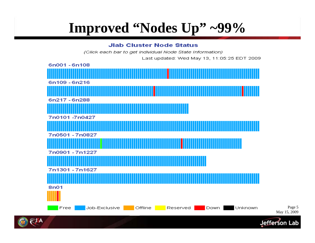### **Improved "Nodes Up" ~99%**

#### **Jlab Cluster Node Status**

(Click each bar to get individual Node State Information) Last updated: Wed May 13, 11:05:25 EDT 2009 6n001 - 6n108 6n109 - 6n216 6n217 - 6n288 7n0101-7n0427 7n0501 - 7n0827 7n0901 - 7n1227

7n1301 - 7n1627

Free

Job-Exclusive

8n01

Reserved

**Down** 

Unknown

Offline





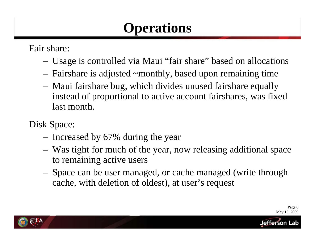### **Operations**

Fair share:

- –Usage is controlled via Maui "fair share" based on allocations
- – $-$  Fairshare is adjusted ~monthly, based upon remaining time
- – Maui fairshare bug, which divides unused fairshare equally instead of proportional to active account fairshares, was fixed last month.

Disk Space:

- –- Increased by 67% during the year
- – Was tight for much of the year, now releasing additional space to remaining active users
- – Space can be user managed, or cache managed (write through cache, with deletion of oldest), at user's request

Page 6 May 15, 2009

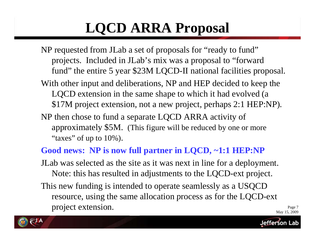## **LQCD ARRA Proposal**

- NP requested from JLab a set of proposals for "ready to fund" projects. Included in JLab's mix was a proposal to "forward fund" the entire 5 year \$23M LQCD-II national facilities proposal.
- With other input and deliberations, NP and HEP decided to keep the LQCD extension in the same shape to which it had evolved (a \$17M project extension, not a new project, perhaps 2:1 HEP:NP).
- NP then chose to fund a separate LQCD ARRA activity of approximately \$5M. (This figure will be reduced by one or more "taxes" of up to  $10\%$  ).

#### **Good news: NP is now full partner in LQCD, ~1:1 HEP:NP**

- JLab was selected as the site as it was next in line for a deployment. Note: this has resulted in adjustments to the LQCD-ext project.
- This new funding is intended to operate seamlessly as a USQCD resource, using the same allocation process as for the LQCD-ext May 15, 2009 resource, using the same allocation process as for the LQCD-ext<br>project extension.

Page 7

Jetterson Lab

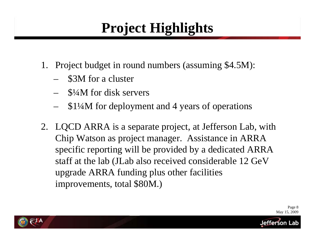### **Project Highlights**

- 1. Project budget in round numbers (assuming \$4.5M):
	- –- \$3M for a cluster
	- –\$¼M for disk servers
	- –\$1¼M for deployment and 4 years of operations
- 2. LQCD ARRA is a separate project, at Jefferson Lab, with Chip Watson as project manager. Assistance in ARRA specific reporting will be provided by a dedicated ARRA staff at the lab (JLab also received considerable 12 GeV upgrade ARRA funding plus other facilities improvements, total \$80M.)



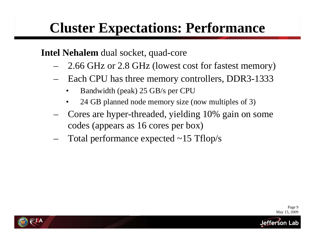### **Cluster Expectations: Performance**

#### **Intel Nehalem** dual socket, quad-core

- –2.66 GHz or 2.8 GHz (lowest cost for fastest memory)
- –- Each CPU has three memory controllers, DDR3-1333
	- •Bandwidth (peak) 25 GB/s per CPU
	- •24 GB planned node memory size (now multiples of 3)
- – Cores are hyper-threaded, yielding 10% gain on some codes (appears as 16 cores per box)
- –- Total performance expected ~15 Tflop/s

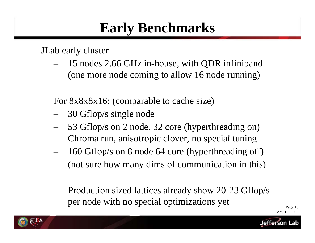#### **Early Benchmarks**

JLab early cluster

– 15 nodes 2.66 GHz in-house, with QDR infiniband (one more node coming to allow 16 node running)

For 8x8x8x16: (comparable to cache size)

- –30 Gflop/s single node
- – 53 Gflop/s on 2 node, 32 core (hyperthreading on) Chroma run, anisotropic clover, no special tuning
- – 160 Gflop/s on 8 node 64 core (hyperthreading off) (not sure how many dims of communication in this)
- – Production sized lattices already show 20-23 Gflop/s per node with no special optimizations yet

Page 10 May 15, 2009

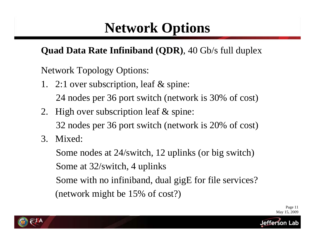### **Network Options**

#### **Quad Data Rate Infiniband (QDR)**, 40 Gb/s full duplex

Network Topology Options:

1. 2:1 over subscription, leaf & spine:

24 nodes per 36 port switch (network is 30% of cost)

- 2. High over subscription leaf & spine: 32 nodes per 36 port switch (network is 20% of cost)
- 3. Mixed:

Some nodes at 24/switch, 12 uplinks (or big switch)

Some at 32/switch, 4 uplinks

Some with no infiniband, dual gigE for file services?

(network mi ght be 15% of cost? ) (g

Page 11 May 15, 2009

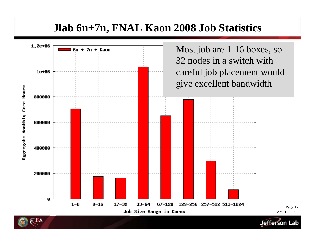#### **Jlab 6n+7n, FNAL Kaon 2008 Job Statistics**

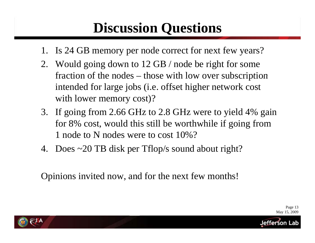### **Discussion Questions**

- 1. Is 24 GB memory per node correct for next few years?
- 2. Would going down to 12 GB / node be right for some fraction of the nodes – – those with low over subscription intended for large jobs (i.e. offset higher network cost with lower memory cost)?
- 3. If going from 2.66 GHz to 2.8 GHz were to yield 4% gain for 8% cost, would this still be worthwhile if going from 1 node to N nodes were to cost 10%?
- 4. Does ~20 TB disk per Tflop/s sound about right?

Opinions invited now, and for the next few months!



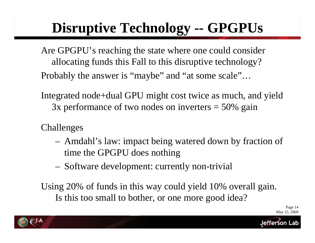### **Disruptive Technology -- GPGPUs**

- Are GPGPU's reaching the state where one could consider allocating funds this Fall to this disruptive technology? Probably the answer is "maybe" and "at some scale" …
- Integrated node+dual GPU might cost twice as much, and yield 3x performance of two nodes on inverters  $=$  50% gain
- Challenges
	- – Amdahl's law: impact being watered down by fraction of time the GPGPU does nothing
	- –- Software development: currently non-trivial

Using 20% of funds in this way could yield 10% overall gain. Is this too small to bother, or one more good idea?

> Page 14 May 15, 2009

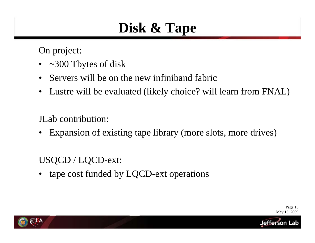### **Disk & Tape**

On project:

- ~300 Tbytes of disk
- Servers will be on the new infiniband fabric
- $\bullet$ Lustre will be evaluated (likely choice? will learn from FNAL)

#### JLab contribution:

•Expansion of existing tape library (more slots, more drives)

#### USQCD / LQCD-ext:

•tape cost funded by LQCD-ext operations

> Page 15 May 15, 2009

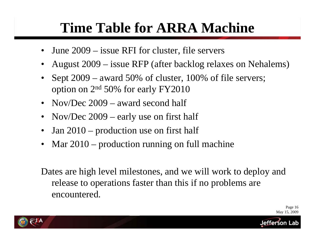### **Time Table for ARRA Machine**

- •June 2009 – issue RFI for cluster, file servers
- $\bullet$ August 2009 – issue RFP (after backlog relaxes on Nehalems)
- •• Sept  $2009$  – award 50% of cluster, 100% of file servers; option on 2n<sup>d</sup> 50% for early FY2010
- Nov/Dec  $2009 -$  award second half
- •Nov/Dec 2009 – early use on first half
- $\bullet$ Jan 2010 – production use on first half
- •Mar 2010 – production running on full machine

Dates are high level milestones, and we will work to deploy and release to operations faster than this if no problems are encountered.

> Page 16 May 15, 2009

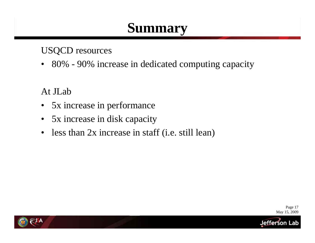#### **Summary**

#### USQCD resources

• 80% - 90% increase in dedicated computing capacity

At JLab

- $\bullet$ 5x increase in performance
- $\bullet$ 5x increase in disk capacity
- $\bullet$ less than  $2x$  increase in staff (i.e. still lean)

Page 17 May 15, 2009

Jefferson L